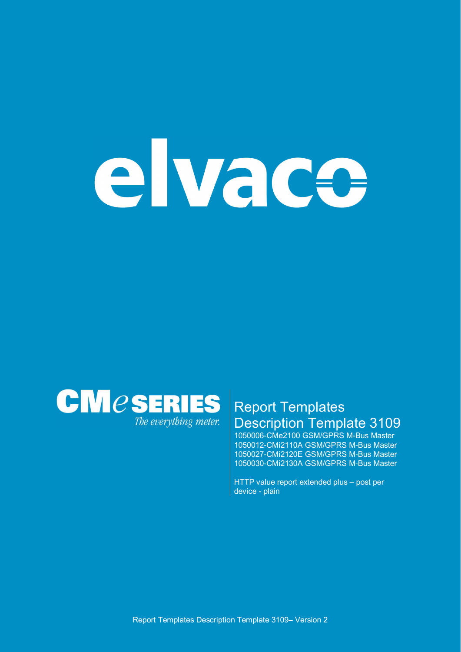# elvace



# Report Templates Description Template 3109

1050006-CMe2100 GSM/GPRS M-Bus Master 1050012-CMi2110A GSM/GPRS M-Bus Master 1050027-CMi2120E GSM/GPRS M-Bus Master 1050030-CMi2130A GSM/GPRS M-Bus Master

HTTP value report extended plus – post per device - plain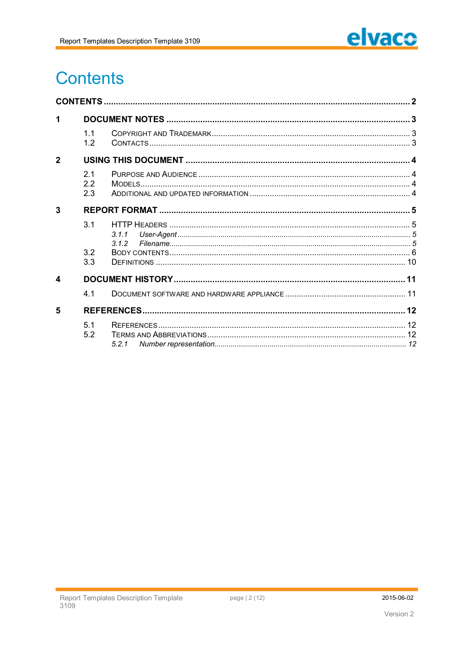

# **Contents**

| 1                     |                   |            |  |  |  |
|-----------------------|-------------------|------------|--|--|--|
|                       | 11<br>1.2         |            |  |  |  |
| $\overline{2}$        |                   |            |  |  |  |
|                       | 21<br>2.2<br>2.3  |            |  |  |  |
| 3                     |                   |            |  |  |  |
|                       | 3.1<br>3.2<br>3.3 | 311<br>312 |  |  |  |
| $\boldsymbol{\Delta}$ |                   |            |  |  |  |
|                       | 4.1               |            |  |  |  |
| 5                     |                   |            |  |  |  |
|                       | 5.1<br>5.2        | 5.2.1      |  |  |  |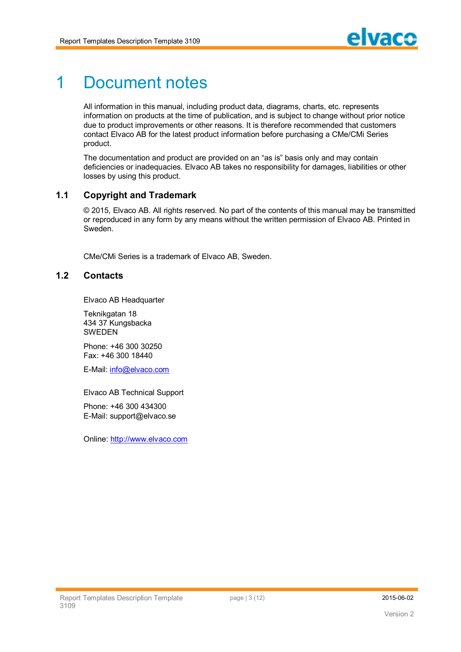

# 1 Document notes

All information in this manual, including product data, diagrams, charts, etc. represents information on products at the time of publication, and is subject to change without prior notice due to product improvements or other reasons. It is therefore recommended that customers contact Elvaco AB for the latest product information before purchasing a CMe/CMi Series product.

The documentation and product are provided on an "as is" basis only and may contain deficiencies or inadequacies. Elvaco AB takes no responsibility for damages, liabilities or other losses by using this product.

## **1.1 Copyright and Trademark**

© 2015, Elvaco AB. All rights reserved. No part of the contents of this manual may be transmitted or reproduced in any form by any means without the written permission of Elvaco AB. Printed in Sweden.

CMe/CMi Series is a trademark of Elvaco AB, Sweden.

## **1.2 Contacts**

Elvaco AB Headquarter

Teknikgatan 18 434 37 Kungsbacka SWEDEN

Phone: +46 300 30250 Fax: +46 300 18440

E-Mail: info@elvaco.com

Elvaco AB Technical Support

Phone: +46 300 434300 E-Mail: support@elvaco.se

Online: http://www.elvaco.com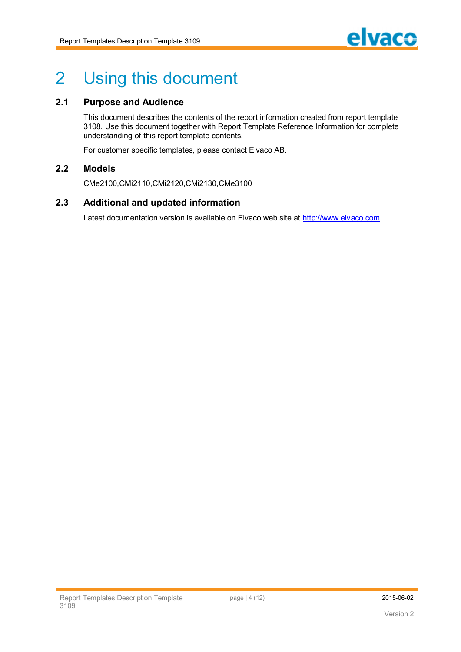

# 2 Using this document

## **2.1 Purpose and Audience**

This document describes the contents of the report information created from report template 3108. Use this document together with Report Template Reference Information for complete understanding of this report template contents.

For customer specific templates, please contact Elvaco AB.

## **2.2 Models**

CMe2100,CMi2110,CMi2120,CMi2130,CMe3100

#### **2.3 Additional and updated information**

Latest documentation version is available on Elvaco web site at http://www.elvaco.com.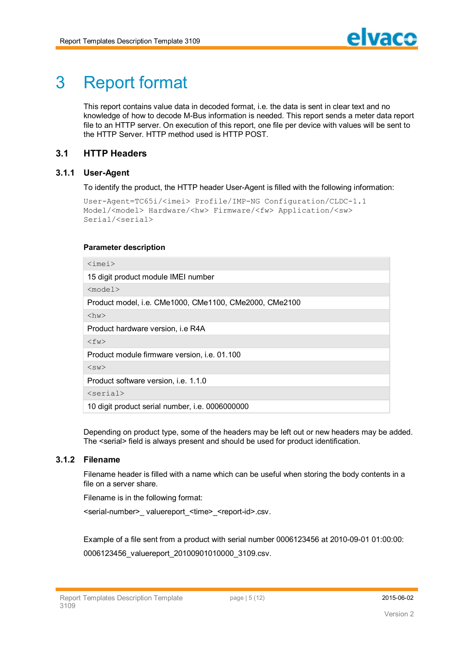# 3 Report format

This report contains value data in decoded format, i.e. the data is sent in clear text and no knowledge of how to decode M-Bus information is needed. This report sends a meter data report file to an HTTP server. On execution of this report, one file per device with values will be sent to the HTTP Server. HTTP method used is HTTP POST.

# **3.1 HTTP Headers**

#### **3.1.1 User-Agent**

To identify the product, the HTTP header User-Agent is filled with the following information:

```
User-Agent=TC65i/<imei> Profile/IMP-NG Configuration/CLDC-1.1
Model/<model> Hardware/<hw> Firmware/<fw> Application/<sw>
Serial/<serial>
```
#### **Parameter description**

| $\langle$ imei $\rangle$                               |  |  |
|--------------------------------------------------------|--|--|
| 15 digit product module IMEI number                    |  |  |
| $<$ model $>$                                          |  |  |
| Product model, i.e. CMe1000, CMe1100, CMe2000, CMe2100 |  |  |
| $\langle$ hw $\rangle$                                 |  |  |
| Product hardware version, i.e R4A                      |  |  |
| $<$ fw $>$                                             |  |  |
| Product module firmware version, <i>i.e.</i> 01.100    |  |  |
| $<$ sw $>$                                             |  |  |
| Product software version, i.e. 1.1.0                   |  |  |
| $<$ serial>                                            |  |  |
| 10 digit product serial number, i.e. 0006000000        |  |  |

Depending on product type, some of the headers may be left out or new headers may be added. The <serial> field is always present and should be used for product identification.

#### **3.1.2 Filename**

Filename header is filled with a name which can be useful when storing the body contents in a file on a server share.

Filename is in the following format:

<serial-number>\_ valuereport\_<time>\_<report-id>.csv.

Example of a file sent from a product with serial number 0006123456 at 2010-09-01 01:00:00: 0006123456\_valuereport\_20100901010000\_3109.csv.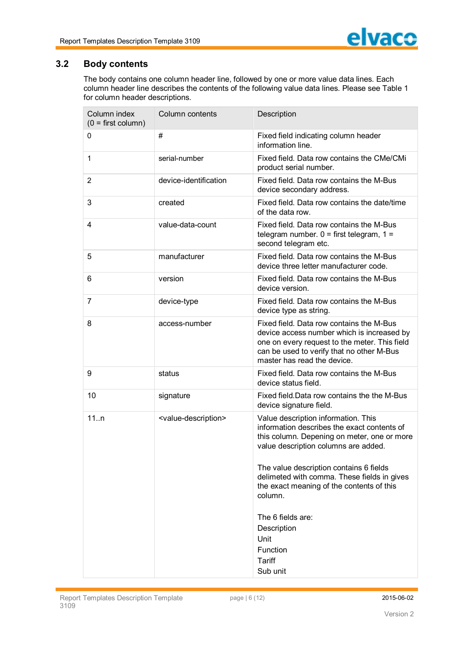

## **3.2 Body contents**

The body contains one column header line, followed by one or more value data lines. Each column header line describes the contents of the following value data lines. Please see Table 1 for column header descriptions.

| Column index<br>$(0 = first column)$ | Column contents                         | Description                                                                                                                                                                                                                                                                                                                                                                                               |
|--------------------------------------|-----------------------------------------|-----------------------------------------------------------------------------------------------------------------------------------------------------------------------------------------------------------------------------------------------------------------------------------------------------------------------------------------------------------------------------------------------------------|
| $\Omega$                             | #                                       | Fixed field indicating column header<br>information line.                                                                                                                                                                                                                                                                                                                                                 |
| $\mathbf{1}$                         | serial-number                           | Fixed field. Data row contains the CMe/CMi<br>product serial number.                                                                                                                                                                                                                                                                                                                                      |
| $\overline{2}$                       | device-identification                   | Fixed field. Data row contains the M-Bus<br>device secondary address.                                                                                                                                                                                                                                                                                                                                     |
| 3                                    | created                                 | Fixed field. Data row contains the date/time<br>of the data row.                                                                                                                                                                                                                                                                                                                                          |
| 4                                    | value-data-count                        | Fixed field. Data row contains the M-Bus<br>telegram number. $0 =$ first telegram, $1 =$<br>second telegram etc.                                                                                                                                                                                                                                                                                          |
| 5                                    | manufacturer                            | Fixed field. Data row contains the M-Bus<br>device three letter manufacturer code.                                                                                                                                                                                                                                                                                                                        |
| 6                                    | version                                 | Fixed field. Data row contains the M-Bus<br>device version.                                                                                                                                                                                                                                                                                                                                               |
| $\overline{7}$                       | device-type                             | Fixed field. Data row contains the M-Bus<br>device type as string.                                                                                                                                                                                                                                                                                                                                        |
| 8                                    | access-number                           | Fixed field. Data row contains the M-Bus<br>device access number which is increased by<br>one on every request to the meter. This field<br>can be used to verify that no other M-Bus<br>master has read the device.                                                                                                                                                                                       |
| 9                                    | status                                  | Fixed field. Data row contains the M-Bus<br>device status field.                                                                                                                                                                                                                                                                                                                                          |
| 10                                   | signature                               | Fixed field. Data row contains the the M-Bus<br>device signature field.                                                                                                                                                                                                                                                                                                                                   |
| 11n                                  | <value-description></value-description> | Value description information. This<br>information describes the exact contents of<br>this column. Depening on meter, one or more<br>value description columns are added.<br>The value description contains 6 fields<br>delimeted with comma. These fields in gives<br>the exact meaning of the contents of this<br>column.<br>The 6 fields are:<br>Description<br>Unit<br>Function<br>Tariff<br>Sub unit |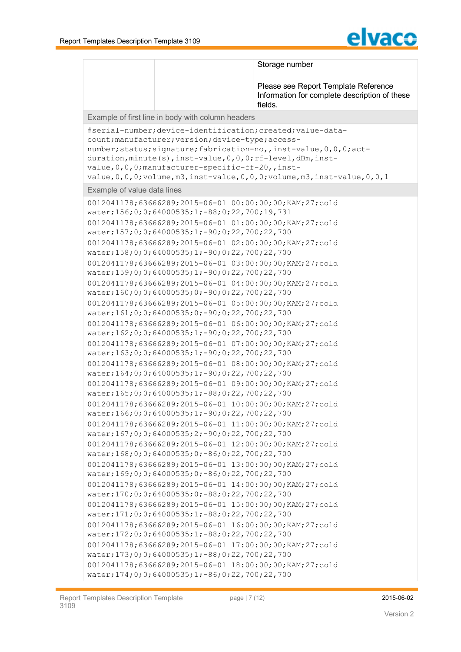

|                                                                                                                                          | Storage number<br>Please see Report Template Reference<br>Information for complete description of these |
|------------------------------------------------------------------------------------------------------------------------------------------|---------------------------------------------------------------------------------------------------------|
|                                                                                                                                          | fields.                                                                                                 |
| Example of first line in body with column headers                                                                                        |                                                                                                         |
| #serial-number; device-identification; created; value-data-                                                                              |                                                                                                         |
| count; manufacturer; version; device-type; access-                                                                                       |                                                                                                         |
| number; status; signature; fabrication-no, , inst-value, 0, 0, 0; act-<br>duration, minute(s), inst-value, 0, 0, 0; rf-level, dBm, inst- |                                                                                                         |
| value, 0, 0, 0; manufacturer-specific-ff-20,, inst-                                                                                      |                                                                                                         |
| $value, 0, 0, 0;$ volume, m3, inst-value, 0, 0, 0; volume, m3, inst-value, 0, 0, 1                                                       |                                                                                                         |
| Example of value data lines                                                                                                              |                                                                                                         |
| 0012041178;63666289;2015-06-01 00:00:00;00;KAM;27;cold                                                                                   |                                                                                                         |
| water; 156; 0; 0; 64000535; 1; -88; 0; 22, 700; 19, 731                                                                                  |                                                                                                         |
| 0012041178;63666289;2015-06-01 01:00:00;00;KAM;27;cold                                                                                   |                                                                                                         |
| water;157;0;0;64000535;1;-90;0;22,700;22,700                                                                                             |                                                                                                         |
| 0012041178;63666289;2015-06-01 02:00:00;00;KAM;27;cold                                                                                   |                                                                                                         |
| water;158;0;0;64000535;1;-90;0;22,700;22,700                                                                                             |                                                                                                         |
| 0012041178;63666289;2015-06-01 03:00:00;00;KAM;27;cold                                                                                   |                                                                                                         |
| water;159;0;0;64000535;1;-90;0;22,700;22,700                                                                                             |                                                                                                         |
| 0012041178;63666289;2015-06-01 04:00:00;00;KAM;27;cold<br>water;160;0;0;64000535;0;-90;0;22,700;22,700                                   |                                                                                                         |
| 0012041178;63666289;2015-06-01 05:00:00;00;KAM;27;cold                                                                                   |                                                                                                         |
| water; 161; 0; 0; 64000535; 0; -90; 0; 22, 700; 22, 700                                                                                  |                                                                                                         |
| 0012041178;63666289;2015-06-01 06:00:00;00;KAM;27;cold                                                                                   |                                                                                                         |
| water;162;0;0;64000535;1;-90;0;22,700;22,700                                                                                             |                                                                                                         |
| 0012041178;63666289;2015-06-01 07:00:00;00;KAM;27;cold                                                                                   |                                                                                                         |
| water;163;0;0;64000535;1;-90;0;22,700;22,700                                                                                             |                                                                                                         |
| 0012041178;63666289;2015-06-01 08:00:00;00;KAM;27;cold<br>water;164;0;0;64000535;1;-90;0;22,700;22,700                                   |                                                                                                         |
| 0012041178;63666289;2015-06-01 09:00:00;00;KAM;27;cold                                                                                   |                                                                                                         |
| water;165;0;0;64000535;1;-88;0;22,700;22,700                                                                                             |                                                                                                         |
| 0012041178;63666289;2015-06-01 10:00:00;00;KAM;27;cold                                                                                   |                                                                                                         |
| water; 166; 0; 0; 64000535; 1; -90; 0; 22, 700; 22, 700                                                                                  |                                                                                                         |
| 0012041178;63666289;2015-06-01 11:00:00;00;KAM;27;cold                                                                                   |                                                                                                         |
| water; 167; 0; 0; 64000535; 2; -90; 0; 22, 700; 22, 700                                                                                  |                                                                                                         |
| 0012041178;63666289;2015-06-01 12:00:00;00;KAM;27;cold                                                                                   |                                                                                                         |
| water;168;0;0;64000535;0;-86;0;22,700;22,700                                                                                             |                                                                                                         |
| 0012041178;63666289;2015-06-01 13:00:00;00;KAM;27;cold<br>water;169;0;0;64000535;0;-86;0;22,700;22,700                                   |                                                                                                         |
| 0012041178;63666289;2015-06-01 14:00:00;00;KAM;27;cold                                                                                   |                                                                                                         |
| water;170;0;0;64000535;0;-88;0;22,700;22,700                                                                                             |                                                                                                         |
| 0012041178;63666289;2015-06-01 15:00:00;00;KAM;27;cold                                                                                   |                                                                                                         |
| water; 171; 0; 0; 64000535; 1; -88; 0; 22, 700; 22, 700                                                                                  |                                                                                                         |
| 0012041178;63666289;2015-06-01 16:00:00;00;KAM;27;cold                                                                                   |                                                                                                         |
| water;172;0;0;64000535;1;-88;0;22,700;22,700                                                                                             |                                                                                                         |
| 0012041178;63666289;2015-06-01 17:00:00;00;KAM;27;cold                                                                                   |                                                                                                         |
| water;173;0;0;64000535;1;-88;0;22,700;22,700<br>0012041178;63666289;2015-06-01 18:00:00;00;KAM;27;cold                                   |                                                                                                         |
| water; 174; 0; 0; 64000535; 1; -86; 0; 22, 700; 22, 700                                                                                  |                                                                                                         |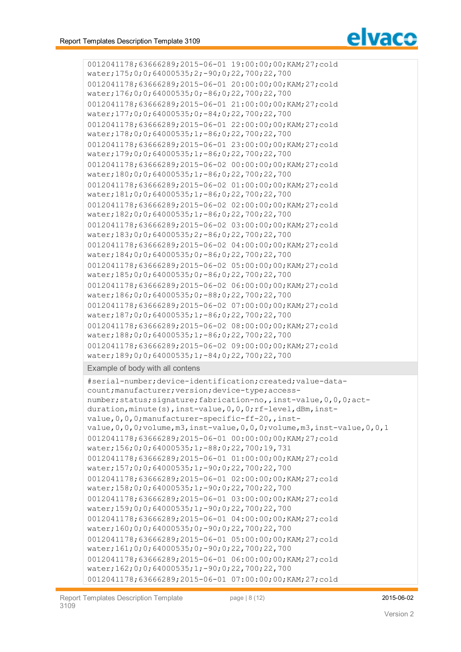

```
0012041178;63666289;2015-06-01 19:00:00;00;KAM;27;cold
water;175;0;0;64000535;2;-90;0;22,700;22,700
0012041178;63666289;2015-06-01 20:00:00;00;KAM;27;cold
water;176;0;0;64000535;0;-86;0;22,700;22,700
0012041178;63666289;2015-06-01 21:00:00;00;KAM;27;cold
water;177;0;0;64000535;0;-84;0;22,700;22,700
0012041178;63666289;2015-06-01 22:00:00;00;KAM;27;cold
water;178;0;0;64000535;1;-86;0;22,700;22,700
0012041178;63666289;2015-06-01 23:00:00;00;KAM;27;cold
water;179;0;0;64000535;1;-86;0;22,700;22,700
0012041178;63666289;2015-06-02 00:00:00;00;KAM;27;cold
water;180;0;0;64000535;1;-86;0;22,700;22,700
0012041178;63666289;2015-06-02 01:00:00;00;KAM;27;cold
water;181;0;0;64000535;1;-86;0;22,700;22,700
0012041178;63666289;2015-06-02 02:00:00;00;KAM;27;cold
water;182;0;0;64000535;1;-86;0;22,700;22,700
0012041178;63666289;2015-06-02 03:00:00;00;KAM;27;cold
water;183;0;0;64000535;2;-86;0;22,700;22,700
0012041178;63666289;2015-06-02 04:00:00;00;KAM;27;cold
water;184;0;0;64000535;0;-86;0;22,700;22,700
0012041178;63666289;2015-06-02 05:00:00;00;KAM;27;cold
water;185;0;0;64000535;0;-86;0;22,700;22,700
0012041178;63666289;2015-06-02 06:00:00;00;KAM;27;cold
water;186;0;0;64000535;0;-88;0;22,700;22,700
0012041178;63666289;2015-06-02 07:00:00;00;KAM;27;cold
water;187;0;0;64000535;1;-86;0;22,700;22,700
0012041178;63666289;2015-06-02 08:00:00;00;KAM;27;cold
water;188;0;0;64000535;1;-86;0;22,700;22,700
0012041178;63666289;2015-06-02 09:00:00;00;KAM;27;cold
water;189;0;0;64000535;1;-84;0;22,700;22,700
```
Example of body with all contens

```
#serial-number;device-identification;created;value-data-
count;manufacturer;version;device-type;access-
number;status;signature;fabrication-no,,inst-value,0,0,0;act-
duration, minute(s), inst-value, 0, 0, 0; rf-level, dBm, inst-
value, 0, 0, 0; manufacturer-specific-ff-20, , inst-
value,0,0,0;volume,m3,inst-value,0,0,0;volume,m3,inst-value,0,0,1
0012041178;63666289;2015-06-01 00:00:00;00;KAM;27;cold
water;156;0;0;64000535;1;-88;0;22,700;19,731
0012041178;63666289;2015-06-01 01:00:00;00;KAM;27;cold
water;157;0;0;64000535;1;-90;0;22,700;22,700
0012041178;63666289;2015-06-01 02:00:00;00;KAM;27;cold
water;158;0;0;64000535;1;-90;0;22,700;22,700
0012041178;63666289;2015-06-01 03:00:00;00;KAM;27;cold
water;159;0;0;64000535;1;-90;0;22,700;22,700
0012041178;63666289;2015-06-01 04:00:00;00;KAM;27;cold
water;160;0;0;64000535;0;-90;0;22,700;22,700
0012041178;63666289;2015-06-01 05:00:00;00;KAM;27;cold
water;161;0;0;64000535;0;-90;0;22,700;22,700
0012041178;63666289;2015-06-01 06:00:00;00;KAM;27;cold
water;162;0;0;64000535;1;-90;0;22,700;22,700
0012041178;63666289;2015-06-01 07:00:00;00;KAM;27;cold
```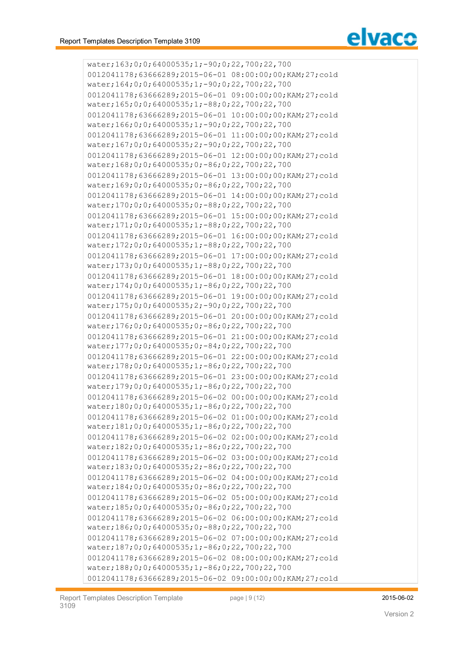

water;163;0;0;64000535;1;-90;0;22,700;22,700 0012041178;63666289;2015-06-01 08:00:00;00;KAM;27;cold water;164;0;0;64000535;1;-90;0;22,700;22,700 0012041178;63666289;2015-06-01 09:00:00;00;KAM;27;cold water;165;0;0;64000535;1;-88;0;22,700;22,700 0012041178;63666289;2015-06-01 10:00:00;00;KAM;27;cold water;166;0;0;64000535;1;-90;0;22,700;22,700 0012041178;63666289;2015-06-01 11:00:00;00;KAM;27;cold water;167;0;0;64000535;2;-90;0;22,700;22,700 0012041178;63666289;2015-06-01 12:00:00;00;KAM;27;cold water;168;0;0;64000535;0;-86;0;22,700;22,700 0012041178;63666289;2015-06-01 13:00:00;00;KAM;27;cold water;169;0;0;64000535;0;-86;0;22,700;22,700 0012041178;63666289;2015-06-01 14:00:00;00;KAM;27;cold water;170;0;0;64000535;0;-88;0;22,700;22,700 0012041178;63666289;2015-06-01 15:00:00;00;KAM;27;cold water;171;0;0;64000535;1;-88;0;22,700;22,700 0012041178;63666289;2015-06-01 16:00:00;00;KAM;27;cold water;172;0;0;64000535;1;-88;0;22,700;22,700 0012041178;63666289;2015-06-01 17:00:00;00;KAM;27;cold water;173;0;0;64000535;1;-88;0;22,700;22,700 0012041178;63666289;2015-06-01 18:00:00;00;KAM;27;cold water;174;0;0;64000535;1;-86;0;22,700;22,700 0012041178;63666289;2015-06-01 19:00:00;00;KAM;27;cold water;175;0;0;64000535;2;-90;0;22,700;22,700 0012041178;63666289;2015-06-01 20:00:00;00;KAM;27;cold water;176;0;0;64000535;0;-86;0;22,700;22,700 0012041178;63666289;2015-06-01 21:00:00;00;KAM;27;cold water;177;0;0;64000535;0;-84;0;22,700;22,700 0012041178;63666289;2015-06-01 22:00:00;00;KAM;27;cold water;178;0;0;64000535;1;-86;0;22,700;22,700 0012041178;63666289;2015-06-01 23:00:00;00;KAM;27;cold water;179;0;0;64000535;1;-86;0;22,700;22,700 0012041178;63666289;2015-06-02 00:00:00;00;KAM;27;cold water;180;0;0;64000535;1;-86;0;22,700;22,700 0012041178;63666289;2015-06-02 01:00:00;00;KAM;27;cold water;181;0;0;64000535;1;-86;0;22,700;22,700 0012041178;63666289;2015-06-02 02:00:00;00;KAM;27;cold water;182;0;0;64000535;1;-86;0;22,700;22,700 0012041178;63666289;2015-06-02 03:00:00;00;KAM;27;cold water;183;0;0;64000535;2;-86;0;22,700;22,700 0012041178;63666289;2015-06-02 04:00:00;00;KAM;27;cold water;184;0;0;64000535;0;-86;0;22,700;22,700 0012041178;63666289;2015-06-02 05:00:00;00;KAM;27;cold water;185;0;0;64000535;0;-86;0;22,700;22,700 0012041178;63666289;2015-06-02 06:00:00;00;KAM;27;cold water;186;0;0;64000535;0;-88;0;22,700;22,700 0012041178;63666289;2015-06-02 07:00:00;00;KAM;27;cold water;187;0;0;64000535;1;-86;0;22,700;22,700 0012041178;63666289;2015-06-02 08:00:00;00;KAM;27;cold water;188;0;0;64000535;1;-86;0;22,700;22,700 0012041178;63666289;2015-06-02 09:00:00;00;KAM;27;cold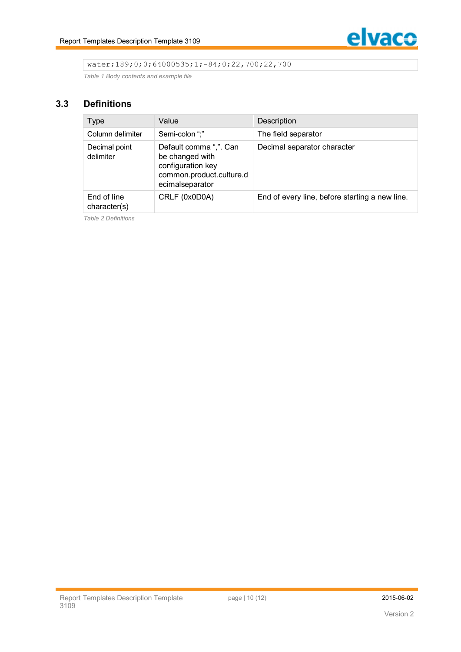

## water;189;0;0;64000535;1;-84;0;22,700;22,700

*Table 1 Body contents and example file*

## **3.3 Definitions**

| <b>Type</b>                 | Value                                                                                                         | Description                                    |
|-----------------------------|---------------------------------------------------------------------------------------------------------------|------------------------------------------------|
| Column delimiter            | Semi-colon ";"                                                                                                | The field separator                            |
| Decimal point<br>delimiter  | Default comma ",". Can<br>be changed with<br>configuration key<br>common.product.culture.d<br>ecimalseparator | Decimal separator character                    |
| End of line<br>character(s) | CRLF (0x0D0A)                                                                                                 | End of every line, before starting a new line. |

*Table 2 Definitions*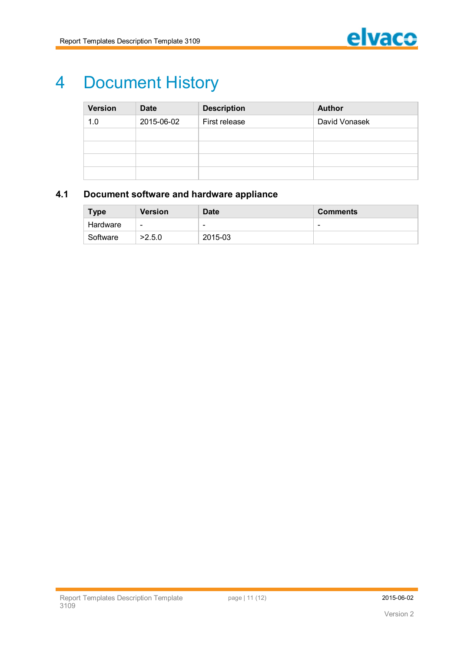

# 4 Document History

| <b>Version</b> | <b>Date</b> | <b>Description</b> | <b>Author</b> |
|----------------|-------------|--------------------|---------------|
| 1.0            | 2015-06-02  | First release      | David Vonasek |
|                |             |                    |               |
|                |             |                    |               |
|                |             |                    |               |
|                |             |                    |               |

# **4.1 Document software and hardware appliance**

| <b>Type</b> | <b>Version</b>           | <b>Date</b>              | <b>Comments</b> |
|-------------|--------------------------|--------------------------|-----------------|
| Hardware    | $\overline{\phantom{0}}$ | $\overline{\phantom{0}}$ | -               |
| Software    | >2.5.0                   | 2015-03                  |                 |